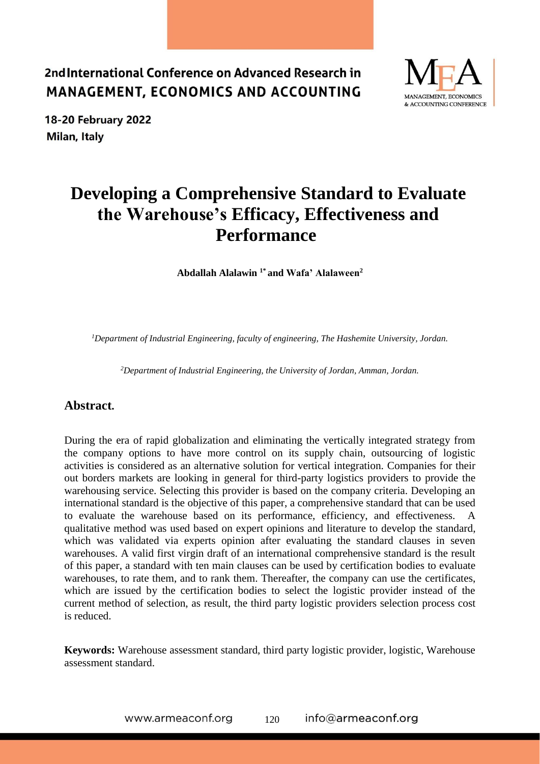



# **Developing a Comprehensive Standard to Evaluate the Warehouse's Efficacy, Effectiveness and Performance**

**Abdallah Alalawin 1\* and Wafa' Alalaween<sup>2</sup>**

*<sup>1</sup>Department of Industrial Engineering, faculty of engineering, The Hashemite University, Jordan.*

*<sup>2</sup>Department of Industrial Engineering, the University of Jordan, Amman, Jordan.*

### **Abstract.**

During the era of rapid globalization and eliminating the vertically integrated strategy from the company options to have more control on its supply chain, outsourcing of logistic activities is considered as an alternative solution for vertical integration. Companies for their out borders markets are looking in general for third-party logistics providers to provide the warehousing service. Selecting this provider is based on the company criteria. Developing an international standard is the objective of this paper, a comprehensive standard that can be used to evaluate the warehouse based on its performance, efficiency, and effectiveness. A qualitative method was used based on expert opinions and literature to develop the standard, which was validated via experts opinion after evaluating the standard clauses in seven warehouses. A valid first virgin draft of an international comprehensive standard is the result of this paper, a standard with ten main clauses can be used by certification bodies to evaluate warehouses, to rate them, and to rank them. Thereafter, the company can use the certificates, which are issued by the certification bodies to select the logistic provider instead of the current method of selection, as result, the third party logistic providers selection process cost is reduced.

**Keywords:** Warehouse assessment standard, third party logistic provider, logistic, Warehouse assessment standard.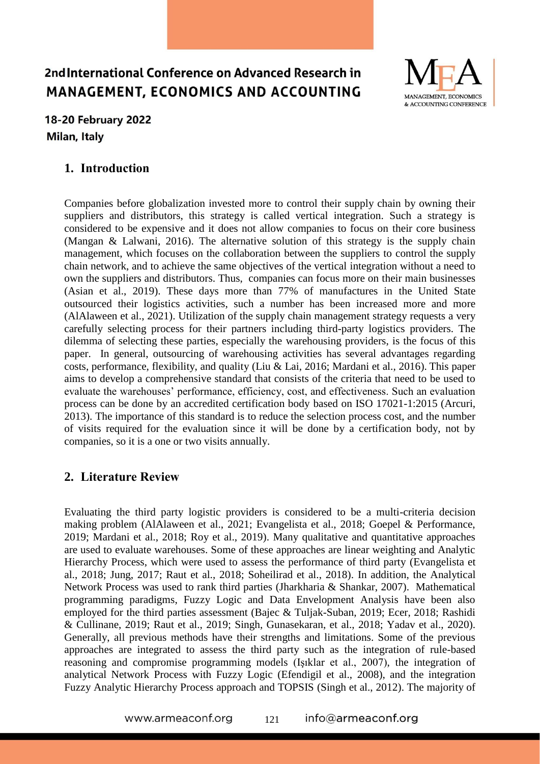

## 18-20 February 2022 Milan, Italy

## **1. Introduction**

Companies before globalization invested more to control their supply chain by owning their suppliers and distributors, this strategy is called vertical integration. Such a strategy is considered to be expensive and it does not allow companies to focus on their core business (Mangan & Lalwani, 2016). The alternative solution of this strategy is the supply chain management, which focuses on the collaboration between the suppliers to control the supply chain network, and to achieve the same objectives of the vertical integration without a need to own the suppliers and distributors. Thus, companies can focus more on their main businesses (Asian et al., 2019). These days more than 77% of manufactures in the United State outsourced their logistics activities, such a number has been increased more and more (AlAlaween et al., 2021). Utilization of the supply chain management strategy requests a very carefully selecting process for their partners including third-party logistics providers. The dilemma of selecting these parties, especially the warehousing providers, is the focus of this paper. In general, outsourcing of warehousing activities has several advantages regarding costs, performance, flexibility, and quality (Liu & Lai, 2016; Mardani et al., 2016). This paper aims to develop a comprehensive standard that consists of the criteria that need to be used to evaluate the warehouses' performance, efficiency, cost, and effectiveness. Such an evaluation process can be done by an accredited certification body based on ISO 17021-1:2015 (Arcuri, 2013). The importance of this standard is to reduce the selection process cost, and the number of visits required for the evaluation since it will be done by a certification body, not by companies, so it is a one or two visits annually.

## **2. Literature Review**

Evaluating the third party logistic providers is considered to be a multi-criteria decision making problem (AlAlaween et al., 2021; Evangelista et al., 2018; Goepel & Performance, 2019; Mardani et al., 2018; Roy et al., 2019). Many qualitative and quantitative approaches are used to evaluate warehouses. Some of these approaches are linear weighting and Analytic Hierarchy Process, which were used to assess the performance of third party (Evangelista et al., 2018; Jung, 2017; Raut et al., 2018; Soheilirad et al., 2018). In addition, the Analytical Network Process was used to rank third parties (Jharkharia & Shankar, 2007). Mathematical programming paradigms, Fuzzy Logic and Data Envelopment Analysis have been also employed for the third parties assessment (Bajec & Tuljak-Suban, 2019; Ecer, 2018; Rashidi & Cullinane, 2019; Raut et al., 2019; Singh, Gunasekaran, et al., 2018; Yadav et al., 2020). Generally, all previous methods have their strengths and limitations. Some of the previous approaches are integrated to assess the third party such as the integration of rule-based reasoning and compromise programming models (Işıklar et al., 2007), the integration of analytical Network Process with Fuzzy Logic (Efendigil et al., 2008), and the integration Fuzzy Analytic Hierarchy Process approach and TOPSIS (Singh et al., 2012). The majority of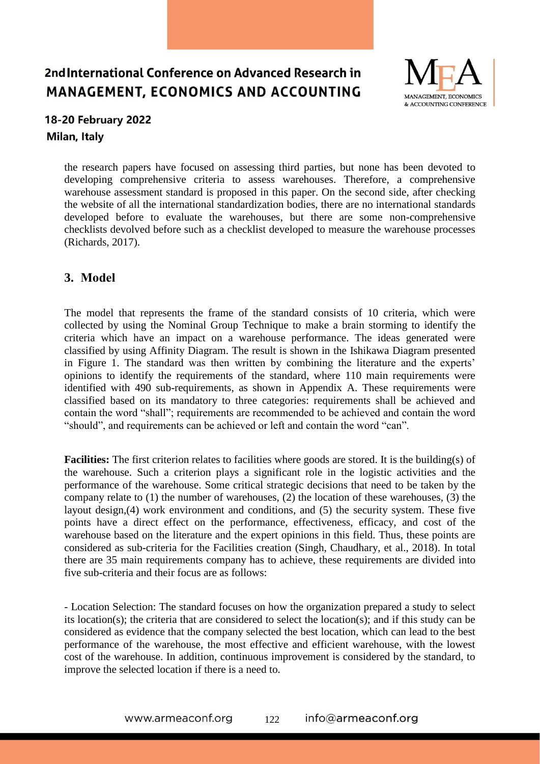

## 18-20 February 2022 Milan, Italy

the research papers have focused on assessing third parties, but none has been devoted to developing comprehensive criteria to assess warehouses. Therefore, a comprehensive warehouse assessment standard is proposed in this paper. On the second side, after checking the website of all the international standardization bodies, there are no international standards developed before to evaluate the warehouses, but there are some non-comprehensive checklists devolved before such as a checklist developed to measure the warehouse processes (Richards, 2017).

## **3. Model**

The model that represents the frame of the standard consists of 10 criteria, which were collected by using the Nominal Group Technique to make a brain storming to identify the criteria which have an impact on a warehouse performance. The ideas generated were classified by using Affinity Diagram. The result is shown in the Ishikawa Diagram presented in Figure 1. The standard was then written by combining the literature and the experts' opinions to identify the requirements of the standard, where 110 main requirements were identified with 490 sub-requirements, as shown in Appendix A. These requirements were classified based on its mandatory to three categories: requirements shall be achieved and contain the word "shall"; requirements are recommended to be achieved and contain the word "should", and requirements can be achieved or left and contain the word "can".

**Facilities:** The first criterion relates to facilities where goods are stored. It is the building(s) of the warehouse. Such a criterion plays a significant role in the logistic activities and the performance of the warehouse. Some critical strategic decisions that need to be taken by the company relate to (1) the number of warehouses, (2) the location of these warehouses, (3) the layout design,(4) work environment and conditions, and (5) the security system. These five points have a direct effect on the performance, effectiveness, efficacy, and cost of the warehouse based on the literature and the expert opinions in this field. Thus, these points are considered as sub-criteria for the Facilities creation (Singh, Chaudhary, et al., 2018). In total there are 35 main requirements company has to achieve, these requirements are divided into five sub-criteria and their focus are as follows:

- Location Selection: The standard focuses on how the organization prepared a study to select its location(s); the criteria that are considered to select the location(s); and if this study can be considered as evidence that the company selected the best location, which can lead to the best performance of the warehouse, the most effective and efficient warehouse, with the lowest cost of the warehouse. In addition, continuous improvement is considered by the standard, to improve the selected location if there is a need to.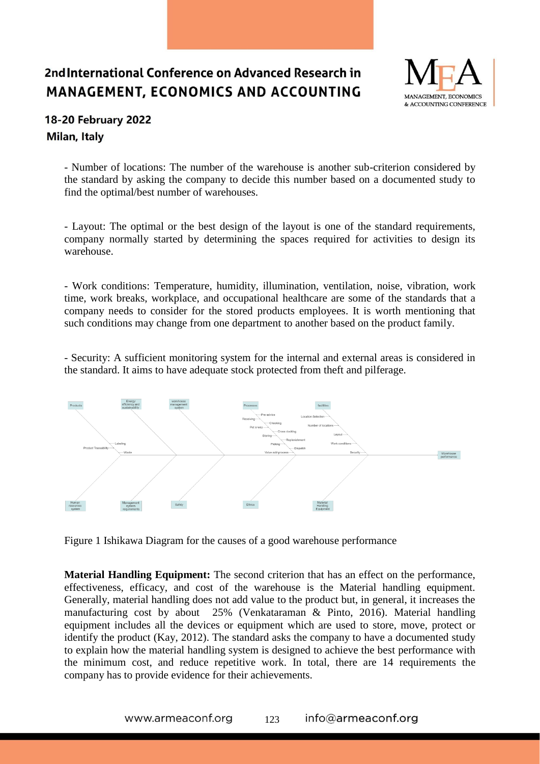

## **18-20 February 2022** Milan, Italy

- Number of locations: The number of the warehouse is another sub-criterion considered by the standard by asking the company to decide this number based on a documented study to find the optimal/best number of warehouses.

- Layout: The optimal or the best design of the layout is one of the standard requirements, company normally started by determining the spaces required for activities to design its warehouse.

- Work conditions: Temperature, humidity, illumination, ventilation, noise, vibration, work time, work breaks, workplace, and occupational healthcare are some of the standards that a company needs to consider for the stored products employees. It is worth mentioning that such conditions may change from one department to another based on the product family.

- Security: A sufficient monitoring system for the internal and external areas is considered in the standard. It aims to have adequate stock protected from theft and pilferage.



Figure 1 Ishikawa Diagram for the causes of a good warehouse performance

**Material Handling Equipment:** The second criterion that has an effect on the performance, effectiveness, efficacy, and cost of the warehouse is the Material handling equipment. Generally, material handling does not add value to the product but, in general, it increases the manufacturing cost by about 25% (Venkataraman & Pinto, 2016). Material handling equipment includes all the devices or equipment which are used to store, move, protect or identify the product (Kay, 2012). The standard asks the company to have a documented study to explain how the material handling system is designed to achieve the best performance with the minimum cost, and reduce repetitive work. In total, there are 14 requirements the company has to provide evidence for their achievements.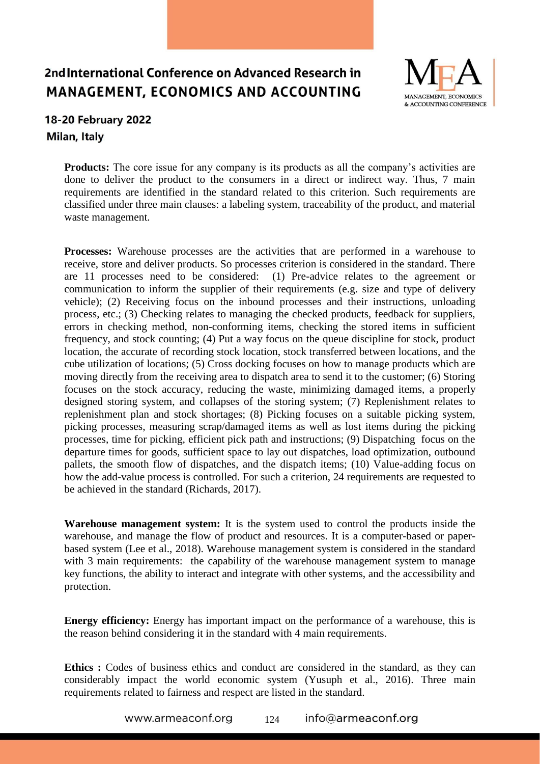

## **18-20 February 2022** Milan, Italy

**Products:** The core issue for any company is its products as all the company's activities are done to deliver the product to the consumers in a direct or indirect way. Thus, 7 main requirements are identified in the standard related to this criterion. Such requirements are classified under three main clauses: a labeling system, traceability of the product, and material waste management.

**Processes:** Warehouse processes are the activities that are performed in a warehouse to receive, store and deliver products. So processes criterion is considered in the standard. There are 11 processes need to be considered: (1) Pre-advice relates to the agreement or communication to inform the supplier of their requirements (e.g. size and type of delivery vehicle); (2) Receiving focus on the inbound processes and their instructions, unloading process, etc.; (3) Checking relates to managing the checked products, feedback for suppliers, errors in checking method, non-conforming items, checking the stored items in sufficient frequency, and stock counting; (4) Put a way focus on the queue discipline for stock, product location, the accurate of recording stock location, stock transferred between locations, and the cube utilization of locations; (5) Cross docking focuses on how to manage products which are moving directly from the receiving area to dispatch area to send it to the customer; (6) Storing focuses on the stock accuracy, reducing the waste, minimizing damaged items, a properly designed storing system, and collapses of the storing system; (7) Replenishment relates to replenishment plan and stock shortages; (8) Picking focuses on a suitable picking system, picking processes, measuring scrap/damaged items as well as lost items during the picking processes, time for picking, efficient pick path and instructions; (9) Dispatching focus on the departure times for goods, sufficient space to lay out dispatches, load optimization, outbound pallets, the smooth flow of dispatches, and the dispatch items; (10) Value-adding focus on how the add-value process is controlled. For such a criterion, 24 requirements are requested to be achieved in the standard (Richards, 2017).

**Warehouse management system:** It is the system used to control the products inside the warehouse, and manage the flow of product and resources. It is a computer-based or paperbased system (Lee et al., 2018). Warehouse management system is considered in the standard with 3 main requirements: the capability of the warehouse management system to manage key functions, the ability to interact and integrate with other systems, and the accessibility and protection.

**Energy efficiency:** Energy has important impact on the performance of a warehouse, this is the reason behind considering it in the standard with 4 main requirements.

**Ethics :** Codes of business ethics and conduct are considered in the standard, as they can considerably impact the world economic system (Yusuph et al., 2016). Three main requirements related to fairness and respect are listed in the standard.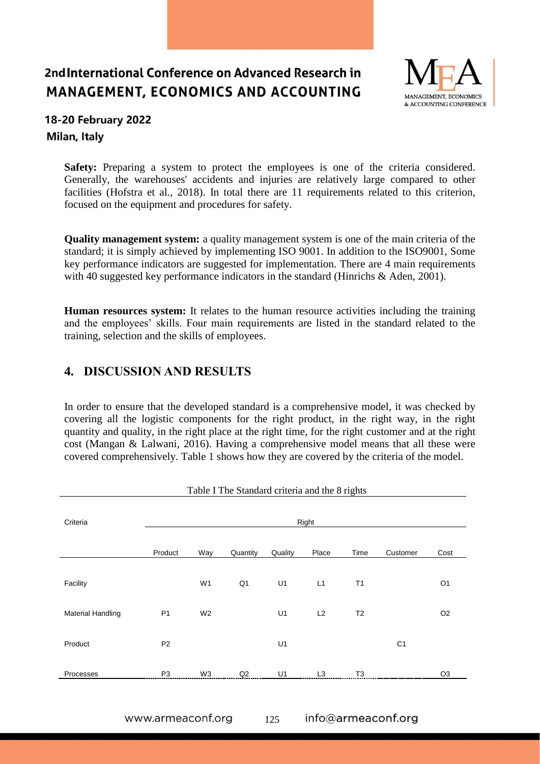

## **18-20 February 2022** Milan, Italy

**Safety:** Preparing a system to protect the employees is one of the criteria considered. Generally, the warehouses' accidents and injuries are relatively large compared to other facilities (Hofstra et al., 2018). In total there are 11 requirements related to this criterion, focused on the equipment and procedures for safety.

**Quality management system:** a quality management system is one of the main criteria of the standard; it is simply achieved by implementing ISO 9001. In addition to the ISO9001, Some key performance indicators are suggested for implementation. There are 4 main requirements with 40 suggested key performance indicators in the standard (Hinrichs & Aden, 2001).

**Human resources system:** It relates to the human resource activities including the training and the employees' skills. Four main requirements are listed in the standard related to the training, selection and the skills of employees.

## **4. DISCUSSION AND RESULTS**

In order to ensure that the developed standard is a comprehensive model, it was checked by covering all the logistic components for the right product, in the right way, in the right quantity and quality, in the right place at the right time, for the right customer and at the right cost (Mangan & Lalwani, 2016). Having a comprehensive model means that all these were covered comprehensively. Table 1 shows how they are covered by the criteria of the model.

| Criteria                 | Right          |                |                |         |                |                |                |                |  |  |  |
|--------------------------|----------------|----------------|----------------|---------|----------------|----------------|----------------|----------------|--|--|--|
|                          | Product        | Way            | Quantity       | Quality | Place          | Time           | Customer       | Cost           |  |  |  |
| Facility                 |                | W <sub>1</sub> | Q <sub>1</sub> | U1      | L1             | T1             |                | O <sub>1</sub> |  |  |  |
| <b>Material Handling</b> | P <sub>1</sub> | W <sub>2</sub> |                | U1      | L2             | T <sub>2</sub> |                | O <sub>2</sub> |  |  |  |
| Product                  | P <sub>2</sub> |                |                | U1      |                |                | C <sub>1</sub> |                |  |  |  |
| Processes                | P <sub>3</sub> | W3             | Q2             | U1      | L <sub>3</sub> | T <sub>3</sub> |                | O <sub>3</sub> |  |  |  |

Table I The Standard criteria and the 8 rights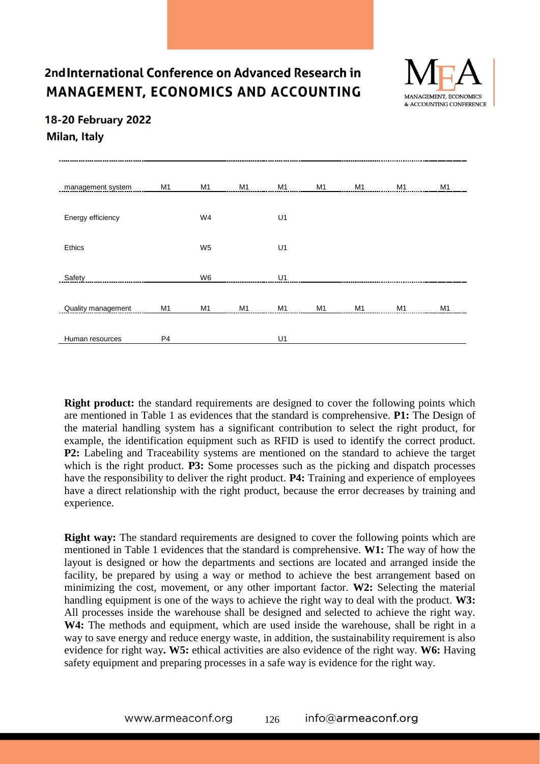

## 18-20 February 2022 Milan, Italy

| management system         | M1             | M1             | M <sub>1</sub> | M <sub>1</sub> | M1             | M1 | M1 | M <sub>1</sub> |
|---------------------------|----------------|----------------|----------------|----------------|----------------|----|----|----------------|
| Energy efficiency         |                | W4             |                | U1             |                |    |    |                |
| Ethics                    |                | W <sub>5</sub> |                | U1             |                |    |    |                |
| Safety                    |                | W <sub>6</sub> |                | U1             |                |    |    |                |
| <b>Quality management</b> | M <sub>1</sub> | M <sub>1</sub> | M <sub>1</sub> | M <sub>1</sub> | M <sub>1</sub> | M1 | M1 | M <sub>1</sub> |
| Human resources           | P <sub>4</sub> |                |                | U1             |                |    |    |                |

**Right product:** the standard requirements are designed to cover the following points which are mentioned in Table 1 as evidences that the standard is comprehensive. **P1:** The Design of the material handling system has a significant contribution to select the right product, for example, the identification equipment such as RFID is used to identify the correct product. **P2:** Labeling and Traceability systems are mentioned on the standard to achieve the target which is the right product. **P3:** Some processes such as the picking and dispatch processes have the responsibility to deliver the right product. **P4:** Training and experience of employees have a direct relationship with the right product, because the error decreases by training and experience.

**Right way:** The standard requirements are designed to cover the following points which are mentioned in Table 1 evidences that the standard is comprehensive. **W1:** The way of how the layout is designed or how the departments and sections are located and arranged inside the facility, be prepared by using a way or method to achieve the best arrangement based on minimizing the cost, movement, or any other important factor. **W2:** Selecting the material handling equipment is one of the ways to achieve the right way to deal with the product. **W3:** All processes inside the warehouse shall be designed and selected to achieve the right way. **W4:** The methods and equipment, which are used inside the warehouse, shall be right in a way to save energy and reduce energy waste, in addition, the sustainability requirement is also evidence for right way**. W5:** ethical activities are also evidence of the right way. **W6:** Having safety equipment and preparing processes in a safe way is evidence for the right way.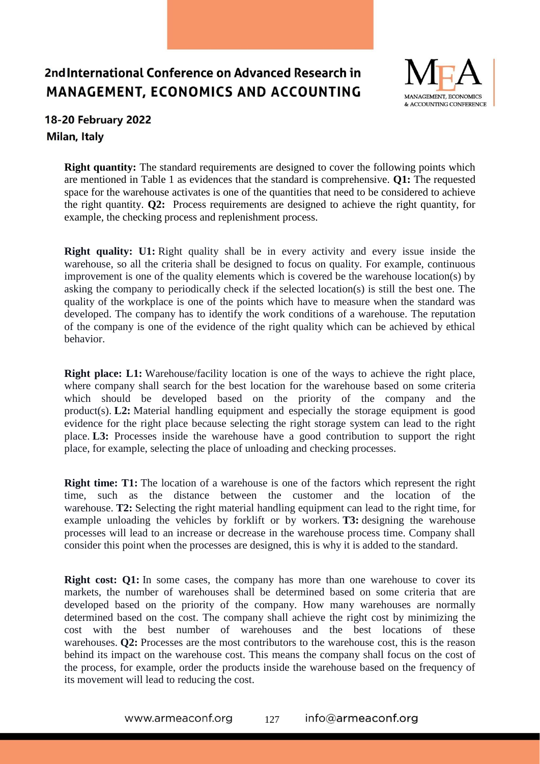

## **18-20 February 2022** Milan, Italy

**Right quantity:** The standard requirements are designed to cover the following points which are mentioned in Table 1 as evidences that the standard is comprehensive. **Q1:** The requested space for the warehouse activates is one of the quantities that need to be considered to achieve the right quantity. **Q2:** Process requirements are designed to achieve the right quantity, for example, the checking process and replenishment process.

**Right quality:** U1: Right quality shall be in every activity and every issue inside the warehouse, so all the criteria shall be designed to focus on quality. For example, continuous improvement is one of the quality elements which is covered be the warehouse location(s) by asking the company to periodically check if the selected location(s) is still the best one. The quality of the workplace is one of the points which have to measure when the standard was developed. The company has to identify the work conditions of a warehouse. The reputation of the company is one of the evidence of the right quality which can be achieved by ethical behavior.

**Right place: L1:** Warehouse/facility location is one of the ways to achieve the right place, where company shall search for the best location for the warehouse based on some criteria which should be developed based on the priority of the company and the product(s). **L2:** Material handling equipment and especially the storage equipment is good evidence for the right place because selecting the right storage system can lead to the right place. **L3:** Processes inside the warehouse have a good contribution to support the right place, for example, selecting the place of unloading and checking processes.

**Right time: T1:** The location of a warehouse is one of the factors which represent the right time, such as the distance between the customer and the location of the warehouse. **T2:** Selecting the right material handling equipment can lead to the right time, for example unloading the vehicles by forklift or by workers. **T3:** designing the warehouse processes will lead to an increase or decrease in the warehouse process time. Company shall consider this point when the processes are designed, this is why it is added to the standard.

**Right cost: Q1:** In some cases, the company has more than one warehouse to cover its markets, the number of warehouses shall be determined based on some criteria that are developed based on the priority of the company. How many warehouses are normally determined based on the cost. The company shall achieve the right cost by minimizing the cost with the best number of warehouses and the best locations of these warehouses. **Q2:** Processes are the most contributors to the warehouse cost, this is the reason behind its impact on the warehouse cost. This means the company shall focus on the cost of the process, for example, order the products inside the warehouse based on the frequency of its movement will lead to reducing the cost.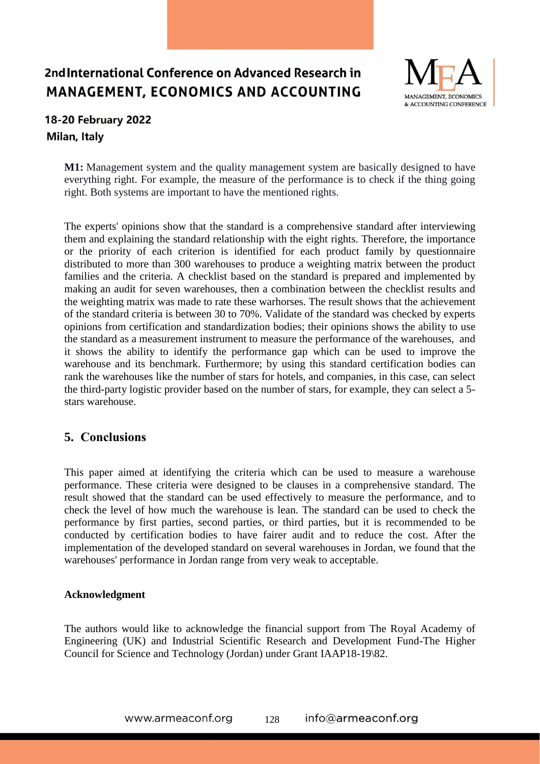

## 18-20 February 2022 Milan, Italy

**M1:** Management system and the quality management system are basically designed to have everything right. For example, the measure of the performance is to check if the thing going right. Both systems are important to have the mentioned rights.

The experts' opinions show that the standard is a comprehensive standard after interviewing them and explaining the standard relationship with the eight rights. Therefore, the importance or the priority of each criterion is identified for each product family by questionnaire distributed to more than 300 warehouses to produce a weighting matrix between the product families and the criteria. A checklist based on the standard is prepared and implemented by making an audit for seven warehouses, then a combination between the checklist results and the weighting matrix was made to rate these warhorses. The result shows that the achievement of the standard criteria is between 30 to 70%. Validate of the standard was checked by experts opinions from certification and standardization bodies; their opinions shows the ability to use the standard as a measurement instrument to measure the performance of the warehouses, and it shows the ability to identify the performance gap which can be used to improve the warehouse and its benchmark. Furthermore; by using this standard certification bodies can rank the warehouses like the number of stars for hotels, and companies, in this case, can select the third-party logistic provider based on the number of stars, for example, they can select a 5 stars warehouse.

## **5. Conclusions**

This paper aimed at identifying the criteria which can be used to measure a warehouse performance. These criteria were designed to be clauses in a comprehensive standard. The result showed that the standard can be used effectively to measure the performance, and to check the level of how much the warehouse is lean. The standard can be used to check the performance by first parties, second parties, or third parties, but it is recommended to be conducted by certification bodies to have fairer audit and to reduce the cost. After the implementation of the developed standard on several warehouses in Jordan, we found that the warehouses' performance in Jordan range from very weak to acceptable.

#### **Acknowledgment**

The authors would like to acknowledge the financial support from The Royal Academy of Engineering (UK) and Industrial Scientific Research and Development Fund-The Higher Council for Science and Technology (Jordan) under Grant IAAP18-19\82.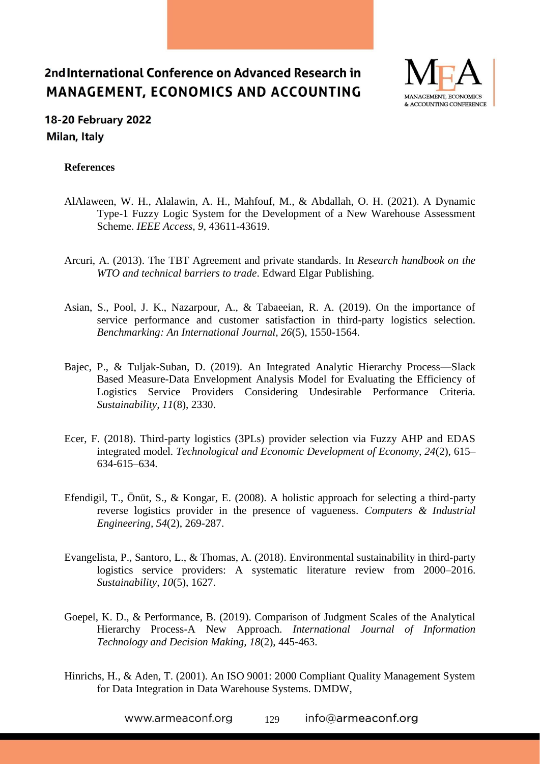

## 18-20 February 2022 Milan, Italy

#### **References**

- AlAlaween, W. H., Alalawin, A. H., Mahfouf, M., & Abdallah, O. H. (2021). A Dynamic Type-1 Fuzzy Logic System for the Development of a New Warehouse Assessment Scheme. *IEEE Access, 9*, 43611-43619.
- Arcuri, A. (2013). The TBT Agreement and private standards. In *Research handbook on the WTO and technical barriers to trade*. Edward Elgar Publishing.
- Asian, S., Pool, J. K., Nazarpour, A., & Tabaeeian, R. A. (2019). On the importance of service performance and customer satisfaction in third-party logistics selection. *Benchmarking: An International Journal, 26*(5), 1550-1564.
- Bajec, P., & Tuljak-Suban, D. (2019). An Integrated Analytic Hierarchy Process—Slack Based Measure-Data Envelopment Analysis Model for Evaluating the Efficiency of Logistics Service Providers Considering Undesirable Performance Criteria. *Sustainability, 11*(8), 2330.
- Ecer, F. (2018). Third-party logistics (3PLs) provider selection via Fuzzy AHP and EDAS integrated model. *Technological and Economic Development of Economy, 24*(2), 615– 634-615–634.
- Efendigil, T., Önüt, S., & Kongar, E. (2008). A holistic approach for selecting a third-party reverse logistics provider in the presence of vagueness. *Computers & Industrial Engineering, 54*(2), 269-287.
- Evangelista, P., Santoro, L., & Thomas, A. (2018). Environmental sustainability in third-party logistics service providers: A systematic literature review from 2000–2016. *Sustainability, 10*(5), 1627.
- Goepel, K. D., & Performance, B. (2019). Comparison of Judgment Scales of the Analytical Hierarchy Process-A New Approach. *International Journal of Information Technology and Decision Making, 18*(2), 445-463.
- Hinrichs, H., & Aden, T. (2001). An ISO 9001: 2000 Compliant Quality Management System for Data Integration in Data Warehouse Systems. DMDW,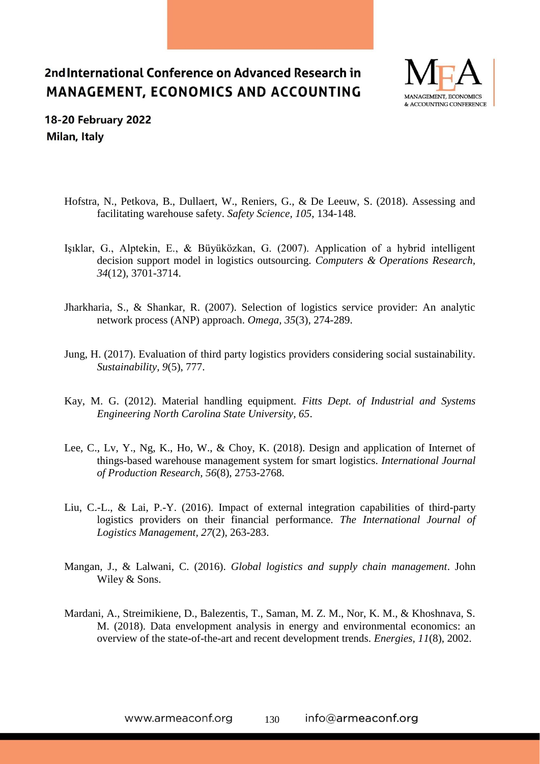

18-20 February 2022 Milan, Italy

- Hofstra, N., Petkova, B., Dullaert, W., Reniers, G., & De Leeuw, S. (2018). Assessing and facilitating warehouse safety. *Safety Science, 105*, 134-148.
- Işıklar, G., Alptekin, E., & Büyüközkan, G. (2007). Application of a hybrid intelligent decision support model in logistics outsourcing. *Computers & Operations Research, 34*(12), 3701-3714.
- Jharkharia, S., & Shankar, R. (2007). Selection of logistics service provider: An analytic network process (ANP) approach. *Omega, 35*(3), 274-289.
- Jung, H. (2017). Evaluation of third party logistics providers considering social sustainability. *Sustainability, 9*(5), 777.
- Kay, M. G. (2012). Material handling equipment. *Fitts Dept. of Industrial and Systems Engineering North Carolina State University, 65*.
- Lee, C., Lv, Y., Ng, K., Ho, W., & Choy, K. (2018). Design and application of Internet of things-based warehouse management system for smart logistics. *International Journal of Production Research, 56*(8), 2753-2768.
- Liu, C.-L., & Lai, P.-Y. (2016). Impact of external integration capabilities of third-party logistics providers on their financial performance. *The International Journal of Logistics Management, 27*(2), 263-283.
- Mangan, J., & Lalwani, C. (2016). *Global logistics and supply chain management*. John Wiley & Sons.
- Mardani, A., Streimikiene, D., Balezentis, T., Saman, M. Z. M., Nor, K. M., & Khoshnava, S. M. (2018). Data envelopment analysis in energy and environmental economics: an overview of the state-of-the-art and recent development trends. *Energies, 11*(8), 2002.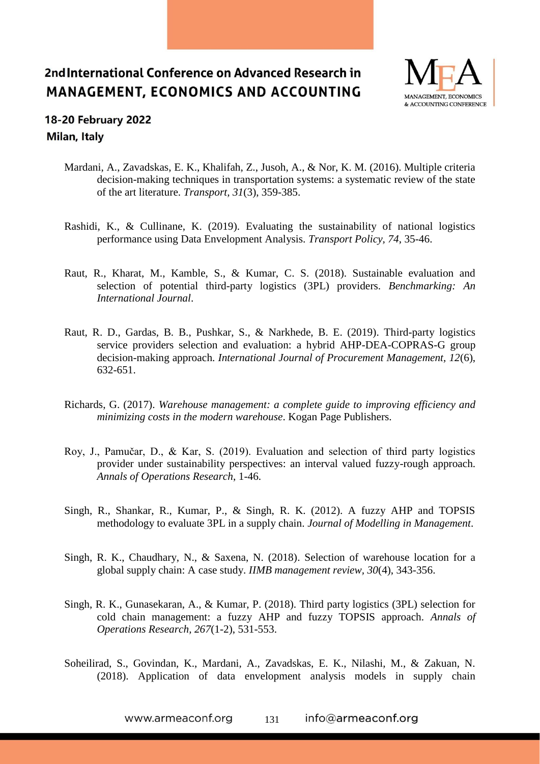

## **18-20 February 2022** Milan, Italy

- Mardani, A., Zavadskas, E. K., Khalifah, Z., Jusoh, A., & Nor, K. M. (2016). Multiple criteria decision-making techniques in transportation systems: a systematic review of the state of the art literature. *Transport, 31*(3), 359-385.
- Rashidi, K., & Cullinane, K. (2019). Evaluating the sustainability of national logistics performance using Data Envelopment Analysis. *Transport Policy, 74*, 35-46.
- Raut, R., Kharat, M., Kamble, S., & Kumar, C. S. (2018). Sustainable evaluation and selection of potential third-party logistics (3PL) providers. *Benchmarking: An International Journal*.
- Raut, R. D., Gardas, B. B., Pushkar, S., & Narkhede, B. E. (2019). Third-party logistics service providers selection and evaluation: a hybrid AHP-DEA-COPRAS-G group decision-making approach. *International Journal of Procurement Management, 12*(6), 632-651.
- Richards, G. (2017). *Warehouse management: a complete guide to improving efficiency and minimizing costs in the modern warehouse*. Kogan Page Publishers.
- Roy, J., Pamučar, D., & Kar, S. (2019). Evaluation and selection of third party logistics provider under sustainability perspectives: an interval valued fuzzy-rough approach. *Annals of Operations Research*, 1-46.
- Singh, R., Shankar, R., Kumar, P., & Singh, R. K. (2012). A fuzzy AHP and TOPSIS methodology to evaluate 3PL in a supply chain. *Journal of Modelling in Management*.
- Singh, R. K., Chaudhary, N., & Saxena, N. (2018). Selection of warehouse location for a global supply chain: A case study. *IIMB management review, 30*(4), 343-356.
- Singh, R. K., Gunasekaran, A., & Kumar, P. (2018). Third party logistics (3PL) selection for cold chain management: a fuzzy AHP and fuzzy TOPSIS approach. *Annals of Operations Research, 267*(1-2), 531-553.
- Soheilirad, S., Govindan, K., Mardani, A., Zavadskas, E. K., Nilashi, M., & Zakuan, N. (2018). Application of data envelopment analysis models in supply chain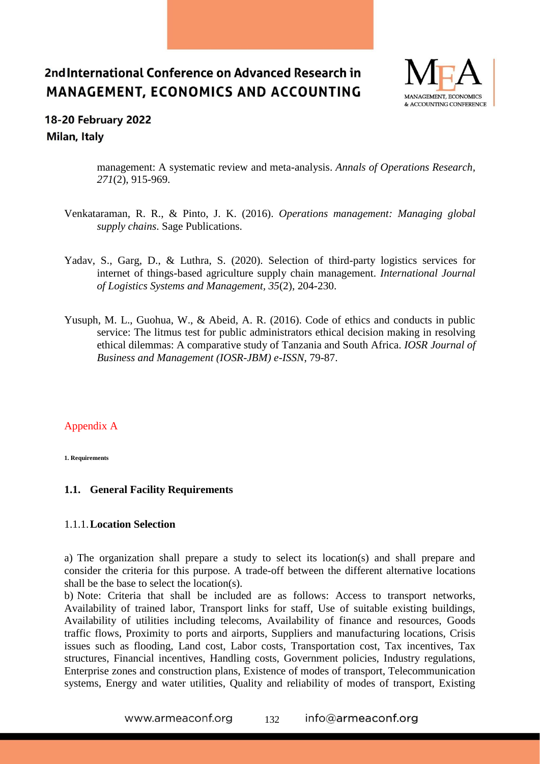

## **18-20 February 2022** Milan, Italy

management: A systematic review and meta-analysis. *Annals of Operations Research, 271*(2), 915-969.

- Venkataraman, R. R., & Pinto, J. K. (2016). *Operations management: Managing global supply chains*. Sage Publications.
- Yadav, S., Garg, D., & Luthra, S. (2020). Selection of third-party logistics services for internet of things-based agriculture supply chain management. *International Journal of Logistics Systems and Management, 35*(2), 204-230.
- Yusuph, M. L., Guohua, W., & Abeid, A. R. (2016). Code of ethics and conducts in public service: The litmus test for public administrators ethical decision making in resolving ethical dilemmas: A comparative study of Tanzania and South Africa. *IOSR Journal of Business and Management (IOSR-JBM) e-ISSN*, 79-87.

### Appendix A

**1. Requirements** 

### **1.1. General Facility Requirements**

#### 1.1.1.**Location Selection**

a) The organization shall prepare a study to select its location(s) and shall prepare and consider the criteria for this purpose. A trade-off between the different alternative locations shall be the base to select the location(s).

b) Note: Criteria that shall be included are as follows: Access to transport networks, Availability of trained labor, Transport links for staff, Use of suitable existing buildings, Availability of utilities including telecoms, Availability of finance and resources, Goods traffic flows, Proximity to ports and airports, Suppliers and manufacturing locations, Crisis issues such as flooding, Land cost, Labor costs, Transportation cost, Tax incentives, Tax structures, Financial incentives, Handling costs, Government policies, Industry regulations, Enterprise zones and construction plans, Existence of modes of transport, Telecommunication systems, Energy and water utilities, Quality and reliability of modes of transport, Existing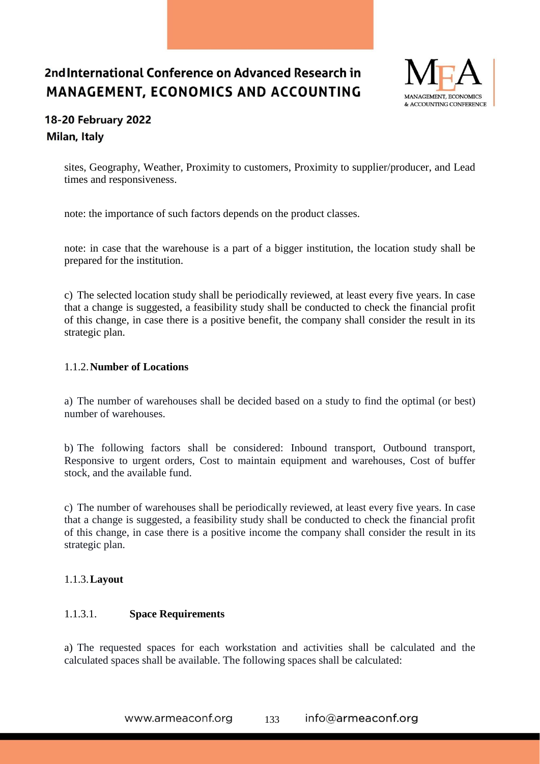

## 18-20 February 2022 Milan, Italy

sites, Geography, Weather, Proximity to customers, Proximity to supplier/producer, and Lead times and responsiveness.

note: the importance of such factors depends on the product classes.

note: in case that the warehouse is a part of a bigger institution, the location study shall be prepared for the institution.

c) The selected location study shall be periodically reviewed, at least every five years. In case that a change is suggested, a feasibility study shall be conducted to check the financial profit of this change, in case there is a positive benefit, the company shall consider the result in its strategic plan.

### 1.1.2.**Number of Locations**

a) The number of warehouses shall be decided based on a study to find the optimal (or best) number of warehouses.

b) The following factors shall be considered: Inbound transport, Outbound transport, Responsive to urgent orders, Cost to maintain equipment and warehouses, Cost of buffer stock, and the available fund.

c) The number of warehouses shall be periodically reviewed, at least every five years. In case that a change is suggested, a feasibility study shall be conducted to check the financial profit of this change, in case there is a positive income the company shall consider the result in its strategic plan.

### 1.1.3.**Layout**

### 1.1.3.1. **Space Requirements**

a) The requested spaces for each workstation and activities shall be calculated and the calculated spaces shall be available. The following spaces shall be calculated: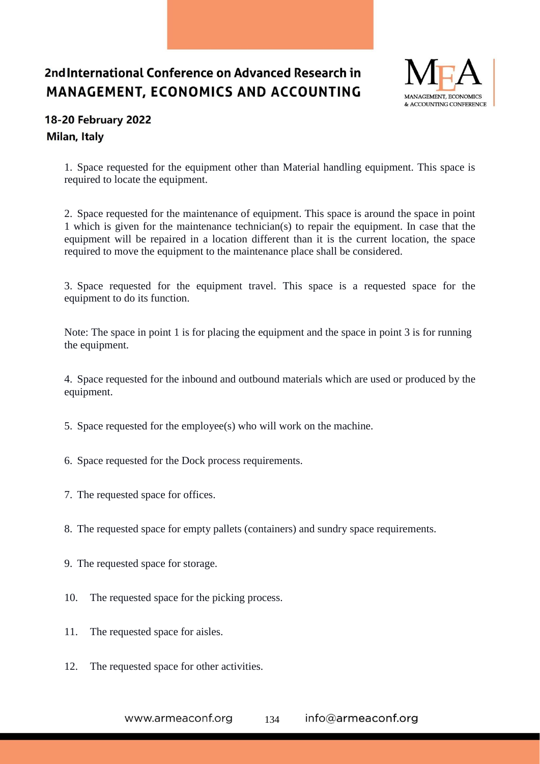

## 18-20 February 2022 Milan, Italy

1. Space requested for the equipment other than Material handling equipment. This space is required to locate the equipment.

2. Space requested for the maintenance of equipment. This space is around the space in point 1 which is given for the maintenance technician(s) to repair the equipment. In case that the equipment will be repaired in a location different than it is the current location, the space required to move the equipment to the maintenance place shall be considered.

3. Space requested for the equipment travel. This space is a requested space for the equipment to do its function.

Note: The space in point 1 is for placing the equipment and the space in point 3 is for running the equipment.

4. Space requested for the inbound and outbound materials which are used or produced by the equipment.

- 5. Space requested for the employee(s) who will work on the machine.
- 6. Space requested for the Dock process requirements.
- 7. The requested space for offices.
- 8. The requested space for empty pallets (containers) and sundry space requirements.
- 9. The requested space for storage.
- 10. The requested space for the picking process.
- 11. The requested space for aisles.
- 12. The requested space for other activities.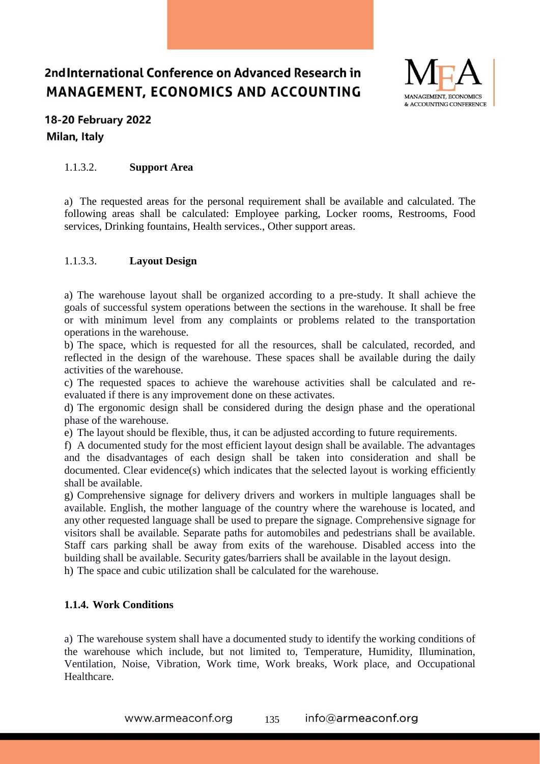

## 18-20 February 2022 Milan, Italy

### 1.1.3.2. **Support Area**

a) The requested areas for the personal requirement shall be available and calculated. The following areas shall be calculated: Employee parking, Locker rooms, Restrooms, Food services, Drinking fountains, Health services., Other support areas.

### 1.1.3.3. **Layout Design**

a) The warehouse layout shall be organized according to a pre-study. It shall achieve the goals of successful system operations between the sections in the warehouse. It shall be free or with minimum level from any complaints or problems related to the transportation operations in the warehouse.

b) The space, which is requested for all the resources, shall be calculated, recorded, and reflected in the design of the warehouse. These spaces shall be available during the daily activities of the warehouse.

c) The requested spaces to achieve the warehouse activities shall be calculated and reevaluated if there is any improvement done on these activates.

d) The ergonomic design shall be considered during the design phase and the operational phase of the warehouse.

e) The layout should be flexible, thus, it can be adjusted according to future requirements.

f) A documented study for the most efficient layout design shall be available. The advantages and the disadvantages of each design shall be taken into consideration and shall be documented. Clear evidence(s) which indicates that the selected layout is working efficiently shall be available.

g) Comprehensive signage for delivery drivers and workers in multiple languages shall be available. English, the mother language of the country where the warehouse is located, and any other requested language shall be used to prepare the signage. Comprehensive signage for visitors shall be available. Separate paths for automobiles and pedestrians shall be available. Staff cars parking shall be away from exits of the warehouse. Disabled access into the building shall be available. Security gates/barriers shall be available in the layout design.

h) The space and cubic utilization shall be calculated for the warehouse.

### **1.1.4. Work Conditions**

a) The warehouse system shall have a documented study to identify the working conditions of the warehouse which include, but not limited to, Temperature, Humidity, Illumination, Ventilation, Noise, Vibration, Work time, Work breaks, Work place, and Occupational Healthcare.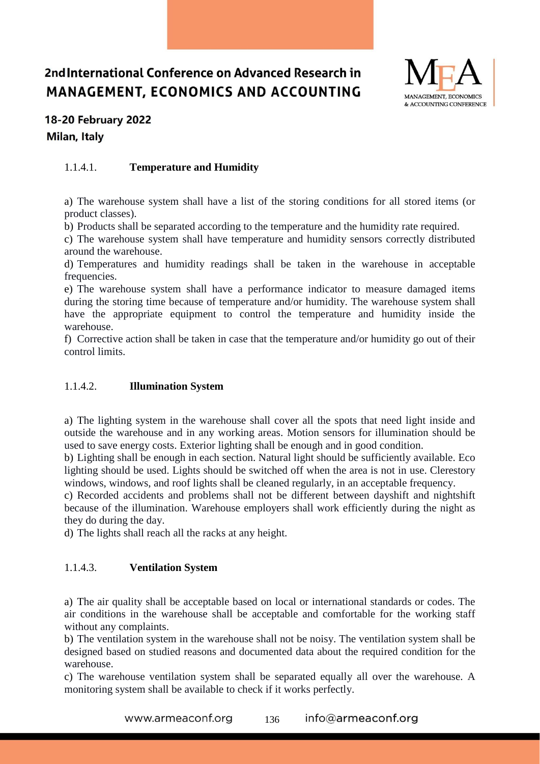

## 18-20 February 2022 Milan, Italy

### 1.1.4.1. **Temperature and Humidity**

a) The warehouse system shall have a list of the storing conditions for all stored items (or product classes).

b) Products shall be separated according to the temperature and the humidity rate required.

c) The warehouse system shall have temperature and humidity sensors correctly distributed around the warehouse.

d) Temperatures and humidity readings shall be taken in the warehouse in acceptable frequencies.

e) The warehouse system shall have a performance indicator to measure damaged items during the storing time because of temperature and/or humidity. The warehouse system shall have the appropriate equipment to control the temperature and humidity inside the warehouse.

f) Corrective action shall be taken in case that the temperature and/or humidity go out of their control limits.

### 1.1.4.2. **Illumination System**

a) The lighting system in the warehouse shall cover all the spots that need light inside and outside the warehouse and in any working areas. Motion sensors for illumination should be used to save energy costs. Exterior lighting shall be enough and in good condition.

b) Lighting shall be enough in each section. Natural light should be sufficiently available. Eco lighting should be used. Lights should be switched off when the area is not in use. Clerestory windows, windows, and roof lights shall be cleaned regularly, in an acceptable frequency.

c) Recorded accidents and problems shall not be different between dayshift and nightshift because of the illumination. Warehouse employers shall work efficiently during the night as they do during the day.

d) The lights shall reach all the racks at any height.

### 1.1.4.3. **Ventilation System**

a) The air quality shall be acceptable based on local or international standards or codes. The air conditions in the warehouse shall be acceptable and comfortable for the working staff without any complaints.

b) The ventilation system in the warehouse shall not be noisy. The ventilation system shall be designed based on studied reasons and documented data about the required condition for the warehouse.

c) The warehouse ventilation system shall be separated equally all over the warehouse. A monitoring system shall be available to check if it works perfectly.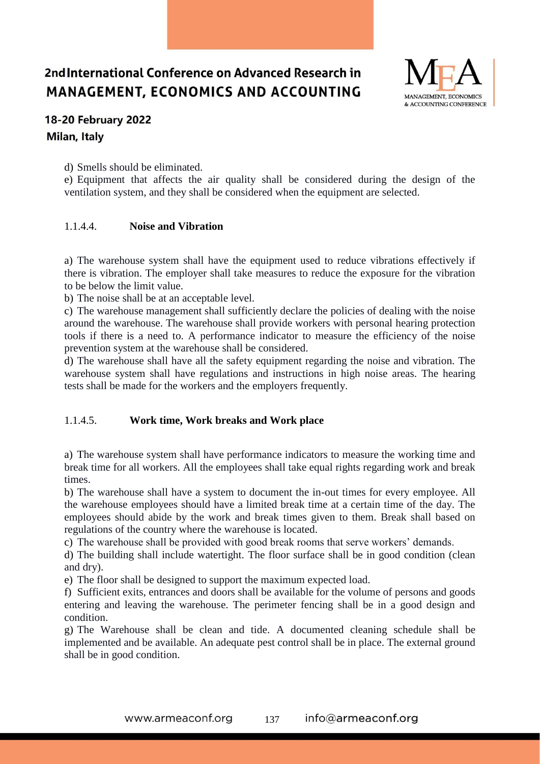

## 18-20 February 2022 Milan, Italy

d) Smells should be eliminated.

e) Equipment that affects the air quality shall be considered during the design of the ventilation system, and they shall be considered when the equipment are selected.

### 1.1.4.4. **Noise and Vibration**

a) The warehouse system shall have the equipment used to reduce vibrations effectively if there is vibration. The employer shall take measures to reduce the exposure for the vibration to be below the limit value.

b) The noise shall be at an acceptable level.

c) The warehouse management shall sufficiently declare the policies of dealing with the noise around the warehouse. The warehouse shall provide workers with personal hearing protection tools if there is a need to. A performance indicator to measure the efficiency of the noise prevention system at the warehouse shall be considered.

d) The warehouse shall have all the safety equipment regarding the noise and vibration. The warehouse system shall have regulations and instructions in high noise areas. The hearing tests shall be made for the workers and the employers frequently.

### 1.1.4.5. **Work time, Work breaks and Work place**

a) The warehouse system shall have performance indicators to measure the working time and break time for all workers. All the employees shall take equal rights regarding work and break times.

b) The warehouse shall have a system to document the in-out times for every employee. All the warehouse employees should have a limited break time at a certain time of the day. The employees should abide by the work and break times given to them. Break shall based on regulations of the country where the warehouse is located.

c) The warehouse shall be provided with good break rooms that serve workers' demands.

d) The building shall include watertight. The floor surface shall be in good condition (clean and dry).

e) The floor shall be designed to support the maximum expected load.

f) Sufficient exits, entrances and doors shall be available for the volume of persons and goods entering and leaving the warehouse. The perimeter fencing shall be in a good design and condition.

g) The Warehouse shall be clean and tide. A documented cleaning schedule shall be implemented and be available. An adequate pest control shall be in place. The external ground shall be in good condition.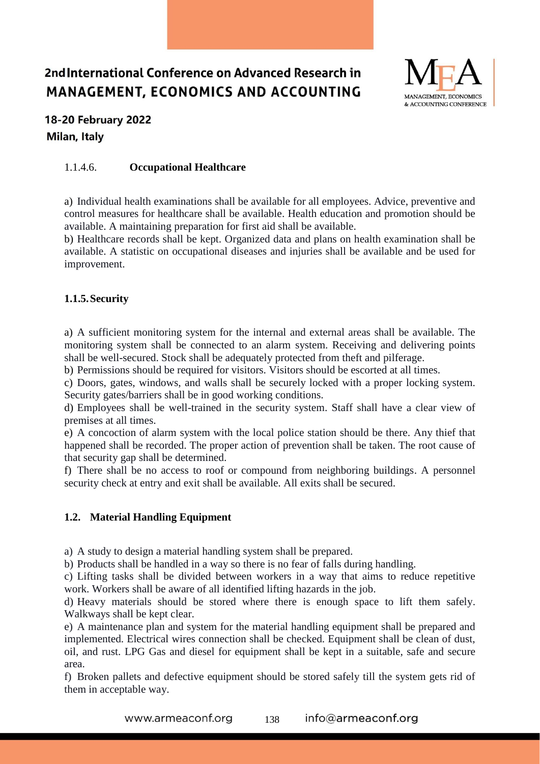

## 18-20 February 2022 Milan, Italy

### 1.1.4.6. **Occupational Healthcare**

a) Individual health examinations shall be available for all employees. Advice, preventive and control measures for healthcare shall be available. Health education and promotion should be available. A maintaining preparation for first aid shall be available.

b) Healthcare records shall be kept. Organized data and plans on health examination shall be available. A statistic on occupational diseases and injuries shall be available and be used for improvement.

### **1.1.5.Security**

a) A sufficient monitoring system for the internal and external areas shall be available. The monitoring system shall be connected to an alarm system. Receiving and delivering points shall be well-secured. Stock shall be adequately protected from theft and pilferage.

b) Permissions should be required for visitors. Visitors should be escorted at all times.

c) Doors, gates, windows, and walls shall be securely locked with a proper locking system. Security gates/barriers shall be in good working conditions.

d) Employees shall be well-trained in the security system. Staff shall have a clear view of premises at all times.

e) A concoction of alarm system with the local police station should be there. Any thief that happened shall be recorded. The proper action of prevention shall be taken. The root cause of that security gap shall be determined.

f) There shall be no access to roof or compound from neighboring buildings. A personnel security check at entry and exit shall be available. All exits shall be secured.

### **1.2. Material Handling Equipment**

a) A study to design a material handling system shall be prepared.

b) Products shall be handled in a way so there is no fear of falls during handling.

c) Lifting tasks shall be divided between workers in a way that aims to reduce repetitive work. Workers shall be aware of all identified lifting hazards in the job.

d) Heavy materials should be stored where there is enough space to lift them safely. Walkways shall be kept clear.

e) A maintenance plan and system for the material handling equipment shall be prepared and implemented. Electrical wires connection shall be checked. Equipment shall be clean of dust, oil, and rust. LPG Gas and diesel for equipment shall be kept in a suitable, safe and secure area.

f) Broken pallets and defective equipment should be stored safely till the system gets rid of them in acceptable way.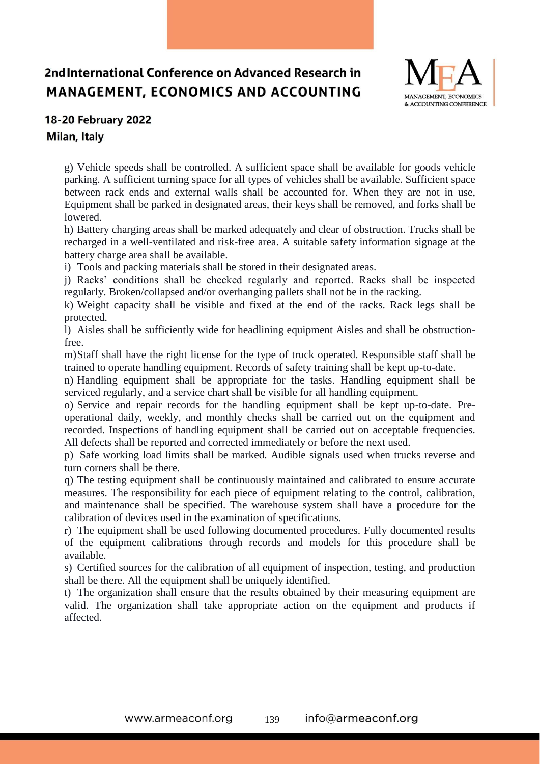

### 18-20 February 2022

Milan, Italy

g) Vehicle speeds shall be controlled. A sufficient space shall be available for goods vehicle parking. A sufficient turning space for all types of vehicles shall be available. Sufficient space between rack ends and external walls shall be accounted for. When they are not in use, Equipment shall be parked in designated areas, their keys shall be removed, and forks shall be lowered.

h) Battery charging areas shall be marked adequately and clear of obstruction. Trucks shall be recharged in a well-ventilated and risk-free area. A suitable safety information signage at the battery charge area shall be available.

i) Tools and packing materials shall be stored in their designated areas.

j) Racks' conditions shall be checked regularly and reported. Racks shall be inspected regularly. Broken/collapsed and/or overhanging pallets shall not be in the racking.

k) Weight capacity shall be visible and fixed at the end of the racks. Rack legs shall be protected.

l) Aisles shall be sufficiently wide for headlining equipment Aisles and shall be obstructionfree.

m)Staff shall have the right license for the type of truck operated. Responsible staff shall be trained to operate handling equipment. Records of safety training shall be kept up-to-date.

n) Handling equipment shall be appropriate for the tasks. Handling equipment shall be serviced regularly, and a service chart shall be visible for all handling equipment.

o) Service and repair records for the handling equipment shall be kept up-to-date. Preoperational daily, weekly, and monthly checks shall be carried out on the equipment and recorded. Inspections of handling equipment shall be carried out on acceptable frequencies. All defects shall be reported and corrected immediately or before the next used.

p) Safe working load limits shall be marked. Audible signals used when trucks reverse and turn corners shall be there.

q) The testing equipment shall be continuously maintained and calibrated to ensure accurate measures. The responsibility for each piece of equipment relating to the control, calibration, and maintenance shall be specified. The warehouse system shall have a procedure for the calibration of devices used in the examination of specifications.

r) The equipment shall be used following documented procedures. Fully documented results of the equipment calibrations through records and models for this procedure shall be available.

s) Certified sources for the calibration of all equipment of inspection, testing, and production shall be there. All the equipment shall be uniquely identified.

t) The organization shall ensure that the results obtained by their measuring equipment are valid. The organization shall take appropriate action on the equipment and products if affected.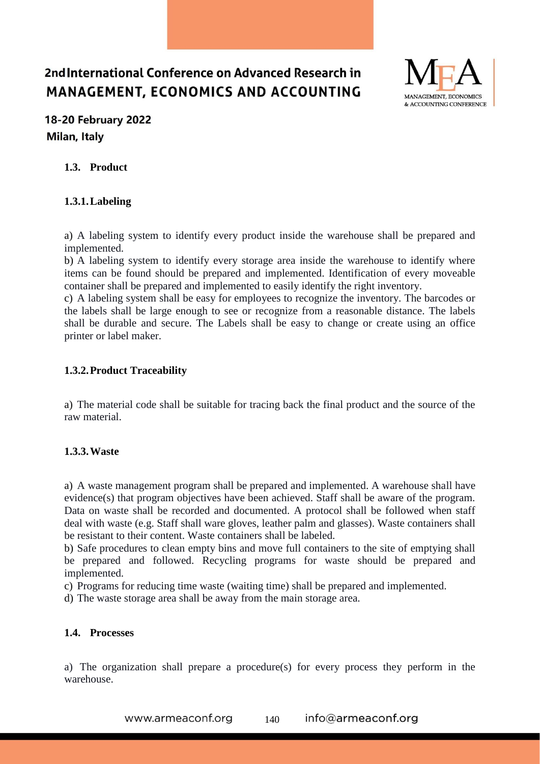

## 18-20 February 2022 Milan, Italy

### **1.3. Product**

### **1.3.1.Labeling**

a) A labeling system to identify every product inside the warehouse shall be prepared and implemented.

b) A labeling system to identify every storage area inside the warehouse to identify where items can be found should be prepared and implemented. Identification of every moveable container shall be prepared and implemented to easily identify the right inventory.

c) A labeling system shall be easy for employees to recognize the inventory. The barcodes or the labels shall be large enough to see or recognize from a reasonable distance. The labels shall be durable and secure. The Labels shall be easy to change or create using an office printer or label maker.

#### **1.3.2.Product Traceability**

a) The material code shall be suitable for tracing back the final product and the source of the raw material.

### **1.3.3.Waste**

a) A waste management program shall be prepared and implemented. A warehouse shall have evidence(s) that program objectives have been achieved. Staff shall be aware of the program. Data on waste shall be recorded and documented. A protocol shall be followed when staff deal with waste (e.g. Staff shall ware gloves, leather palm and glasses). Waste containers shall be resistant to their content. Waste containers shall be labeled.

b) Safe procedures to clean empty bins and move full containers to the site of emptying shall be prepared and followed. Recycling programs for waste should be prepared and implemented.

c) Programs for reducing time waste (waiting time) shall be prepared and implemented.

d) The waste storage area shall be away from the main storage area.

#### **1.4. Processes**

a) The organization shall prepare a procedure(s) for every process they perform in the warehouse.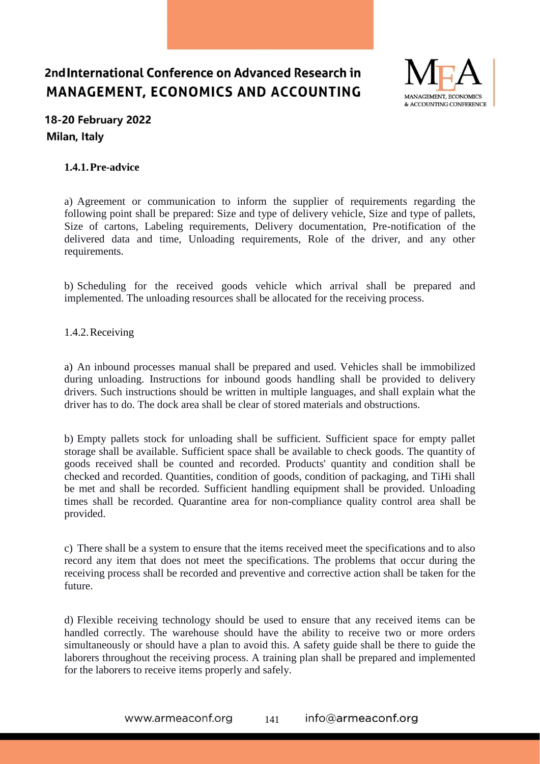

## **18-20 February 2022** Milan, Italy

### **1.4.1.Pre-advice**

a) Agreement or communication to inform the supplier of requirements regarding the following point shall be prepared: Size and type of delivery vehicle, Size and type of pallets, Size of cartons, Labeling requirements, Delivery documentation, Pre-notification of the delivered data and time, Unloading requirements, Role of the driver, and any other requirements.

b) Scheduling for the received goods vehicle which arrival shall be prepared and implemented. The unloading resources shall be allocated for the receiving process.

1.4.2.Receiving

a) An inbound processes manual shall be prepared and used. Vehicles shall be immobilized during unloading. Instructions for inbound goods handling shall be provided to delivery drivers. Such instructions should be written in multiple languages, and shall explain what the driver has to do. The dock area shall be clear of stored materials and obstructions.

b) Empty pallets stock for unloading shall be sufficient. Sufficient space for empty pallet storage shall be available. Sufficient space shall be available to check goods. The quantity of goods received shall be counted and recorded. Products' quantity and condition shall be checked and recorded. Quantities, condition of goods, condition of packaging, and TiHi shall be met and shall be recorded. Sufficient handling equipment shall be provided. Unloading times shall be recorded. Quarantine area for non-compliance quality control area shall be provided.

c) There shall be a system to ensure that the items received meet the specifications and to also record any item that does not meet the specifications. The problems that occur during the receiving process shall be recorded and preventive and corrective action shall be taken for the future.

d) Flexible receiving technology should be used to ensure that any received items can be handled correctly. The warehouse should have the ability to receive two or more orders simultaneously or should have a plan to avoid this. A safety guide shall be there to guide the laborers throughout the receiving process. A training plan shall be prepared and implemented for the laborers to receive items properly and safely.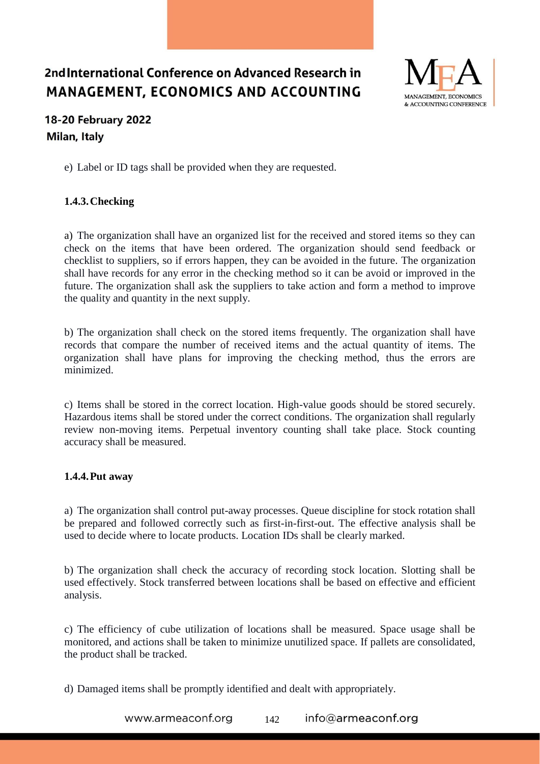

## **18-20 February 2022** Milan, Italy

e) Label or ID tags shall be provided when they are requested.

### **1.4.3.Checking**

a) The organization shall have an organized list for the received and stored items so they can check on the items that have been ordered. The organization should send feedback or checklist to suppliers, so if errors happen, they can be avoided in the future. The organization shall have records for any error in the checking method so it can be avoid or improved in the future. The organization shall ask the suppliers to take action and form a method to improve the quality and quantity in the next supply.

b) The organization shall check on the stored items frequently. The organization shall have records that compare the number of received items and the actual quantity of items. The organization shall have plans for improving the checking method, thus the errors are minimized.

c) Items shall be stored in the correct location. High-value goods should be stored securely. Hazardous items shall be stored under the correct conditions. The organization shall regularly review non-moving items. Perpetual inventory counting shall take place. Stock counting accuracy shall be measured.

### **1.4.4.Put away**

a) The organization shall control put-away processes. Queue discipline for stock rotation shall be prepared and followed correctly such as first-in-first-out. The effective analysis shall be used to decide where to locate products. Location IDs shall be clearly marked.

b) The organization shall check the accuracy of recording stock location. Slotting shall be used effectively. Stock transferred between locations shall be based on effective and efficient analysis.

c) The efficiency of cube utilization of locations shall be measured. Space usage shall be monitored, and actions shall be taken to minimize unutilized space. If pallets are consolidated, the product shall be tracked.

d) Damaged items shall be promptly identified and dealt with appropriately.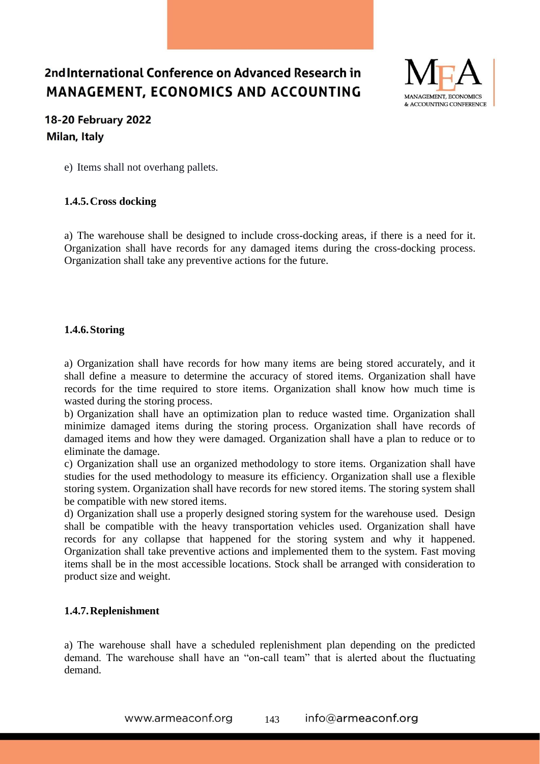

## 18-20 February 2022 Milan, Italy

e) Items shall not overhang pallets.

### **1.4.5.Cross docking**

a) The warehouse shall be designed to include cross-docking areas, if there is a need for it. Organization shall have records for any damaged items during the cross-docking process. Organization shall take any preventive actions for the future.

#### **1.4.6.Storing**

a) Organization shall have records for how many items are being stored accurately, and it shall define a measure to determine the accuracy of stored items. Organization shall have records for the time required to store items. Organization shall know how much time is wasted during the storing process.

b) Organization shall have an optimization plan to reduce wasted time. Organization shall minimize damaged items during the storing process. Organization shall have records of damaged items and how they were damaged. Organization shall have a plan to reduce or to eliminate the damage.

c) Organization shall use an organized methodology to store items. Organization shall have studies for the used methodology to measure its efficiency. Organization shall use a flexible storing system. Organization shall have records for new stored items. The storing system shall be compatible with new stored items.

d) Organization shall use a properly designed storing system for the warehouse used. Design shall be compatible with the heavy transportation vehicles used. Organization shall have records for any collapse that happened for the storing system and why it happened. Organization shall take preventive actions and implemented them to the system. Fast moving items shall be in the most accessible locations. Stock shall be arranged with consideration to product size and weight.

### **1.4.7.Replenishment**

a) The warehouse shall have a scheduled replenishment plan depending on the predicted demand. The warehouse shall have an "on-call team" that is alerted about the fluctuating demand.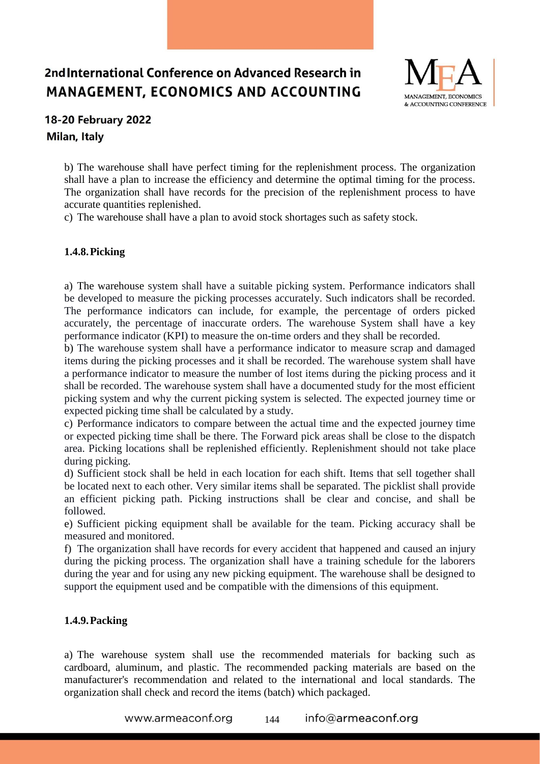

## 18-20 February 2022 Milan, Italy

b) The warehouse shall have perfect timing for the replenishment process. The organization shall have a plan to increase the efficiency and determine the optimal timing for the process. The organization shall have records for the precision of the replenishment process to have accurate quantities replenished.

c) The warehouse shall have a plan to avoid stock shortages such as safety stock.

### **1.4.8.Picking**

a) The warehouse system shall have a suitable picking system. Performance indicators shall be developed to measure the picking processes accurately. Such indicators shall be recorded. The performance indicators can include, for example, the percentage of orders picked accurately, the percentage of inaccurate orders. The warehouse System shall have a key performance indicator (KPI) to measure the on-time orders and they shall be recorded.

b) The warehouse system shall have a performance indicator to measure scrap and damaged items during the picking processes and it shall be recorded. The warehouse system shall have a performance indicator to measure the number of lost items during the picking process and it shall be recorded. The warehouse system shall have a documented study for the most efficient picking system and why the current picking system is selected. The expected journey time or expected picking time shall be calculated by a study.

c) Performance indicators to compare between the actual time and the expected journey time or expected picking time shall be there. The Forward pick areas shall be close to the dispatch area. Picking locations shall be replenished efficiently. Replenishment should not take place during picking.

d) Sufficient stock shall be held in each location for each shift. Items that sell together shall be located next to each other. Very similar items shall be separated. The picklist shall provide an efficient picking path. Picking instructions shall be clear and concise, and shall be followed.

e) Sufficient picking equipment shall be available for the team. Picking accuracy shall be measured and monitored.

f) The organization shall have records for every accident that happened and caused an injury during the picking process. The organization shall have a training schedule for the laborers during the year and for using any new picking equipment. The warehouse shall be designed to support the equipment used and be compatible with the dimensions of this equipment.

### **1.4.9.Packing**

a) The warehouse system shall use the recommended materials for backing such as cardboard, aluminum, and plastic. The recommended packing materials are based on the manufacturer's recommendation and related to the international and local standards. The organization shall check and record the items (batch) which packaged.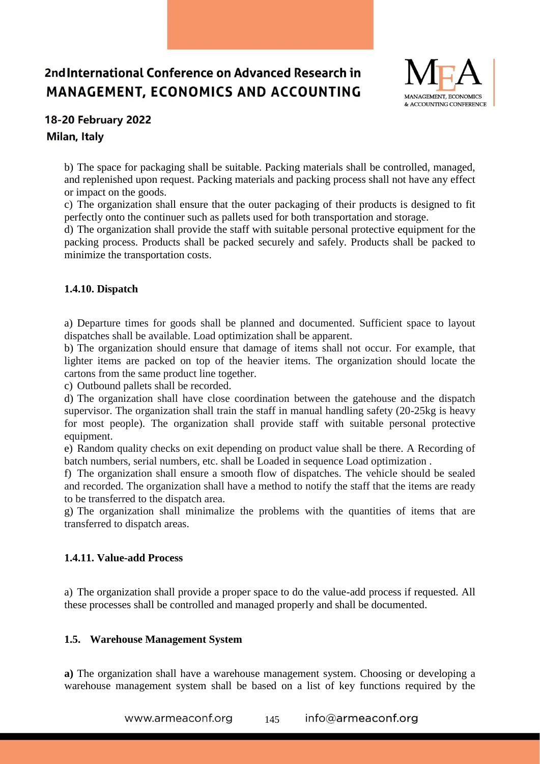

## 18-20 February 2022 Milan, Italy

b) The space for packaging shall be suitable. Packing materials shall be controlled, managed, and replenished upon request. Packing materials and packing process shall not have any effect or impact on the goods.

c) The organization shall ensure that the outer packaging of their products is designed to fit perfectly onto the continuer such as pallets used for both transportation and storage.

d) The organization shall provide the staff with suitable personal protective equipment for the packing process. Products shall be packed securely and safely. Products shall be packed to minimize the transportation costs.

### **1.4.10. Dispatch**

a) Departure times for goods shall be planned and documented. Sufficient space to layout dispatches shall be available. Load optimization shall be apparent.

b) The organization should ensure that damage of items shall not occur. For example, that lighter items are packed on top of the heavier items. The organization should locate the cartons from the same product line together.

c) Outbound pallets shall be recorded.

d) The organization shall have close coordination between the gatehouse and the dispatch supervisor. The organization shall train the staff in manual handling safety (20-25kg is heavy for most people). The organization shall provide staff with suitable personal protective equipment.

e) Random quality checks on exit depending on product value shall be there. A Recording of batch numbers, serial numbers, etc. shall be Loaded in sequence Load optimization .

f) The organization shall ensure a smooth flow of dispatches. The vehicle should be sealed and recorded. The organization shall have a method to notify the staff that the items are ready to be transferred to the dispatch area.

g) The organization shall minimalize the problems with the quantities of items that are transferred to dispatch areas.

#### **1.4.11. Value-add Process**

a) The organization shall provide a proper space to do the value-add process if requested. All these processes shall be controlled and managed properly and shall be documented.

#### **1.5. Warehouse Management System**

**a)** The organization shall have a warehouse management system. Choosing or developing a warehouse management system shall be based on a list of key functions required by the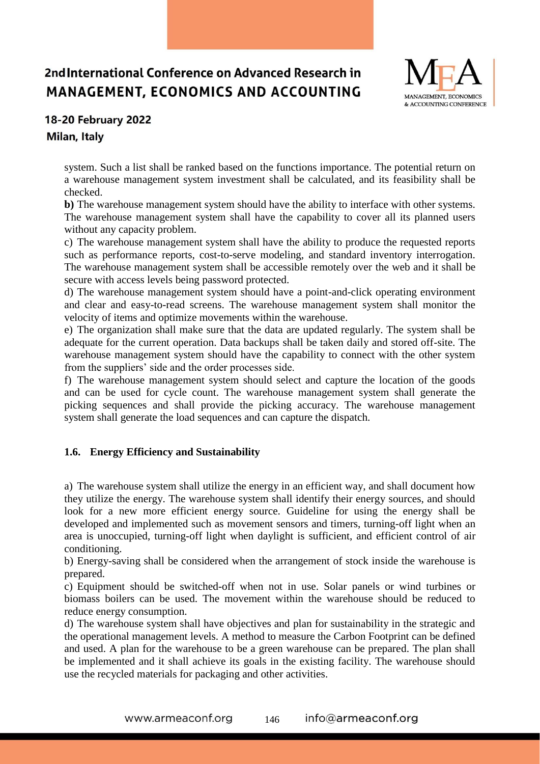

# 18-20 February 2022

### Milan, Italy

system. Such a list shall be ranked based on the functions importance. The potential return on a warehouse management system investment shall be calculated, and its feasibility shall be checked.

**b)** The warehouse management system should have the ability to interface with other systems. The warehouse management system shall have the capability to cover all its planned users without any capacity problem.

c) The warehouse management system shall have the ability to produce the requested reports such as performance reports, cost-to-serve modeling, and standard inventory interrogation. The warehouse management system shall be accessible remotely over the web and it shall be secure with access levels being password protected.

d) The warehouse management system should have a point-and-click operating environment and clear and easy-to-read screens. The warehouse management system shall monitor the velocity of items and optimize movements within the warehouse.

e) The organization shall make sure that the data are updated regularly. The system shall be adequate for the current operation. Data backups shall be taken daily and stored off-site. The warehouse management system should have the capability to connect with the other system from the suppliers' side and the order processes side.

f) The warehouse management system should select and capture the location of the goods and can be used for cycle count. The warehouse management system shall generate the picking sequences and shall provide the picking accuracy. The warehouse management system shall generate the load sequences and can capture the dispatch.

### **1.6. Energy Efficiency and Sustainability**

a) The warehouse system shall utilize the energy in an efficient way, and shall document how they utilize the energy. The warehouse system shall identify their energy sources, and should look for a new more efficient energy source. Guideline for using the energy shall be developed and implemented such as movement sensors and timers, turning-off light when an area is unoccupied, turning-off light when daylight is sufficient, and efficient control of air conditioning.

b) Energy-saving shall be considered when the arrangement of stock inside the warehouse is prepared.

c) Equipment should be switched-off when not in use. Solar panels or wind turbines or biomass boilers can be used. The movement within the warehouse should be reduced to reduce energy consumption.

d) The warehouse system shall have objectives and plan for sustainability in the strategic and the operational management levels. A method to measure the Carbon Footprint can be defined and used. A plan for the warehouse to be a green warehouse can be prepared. The plan shall be implemented and it shall achieve its goals in the existing facility. The warehouse should use the recycled materials for packaging and other activities.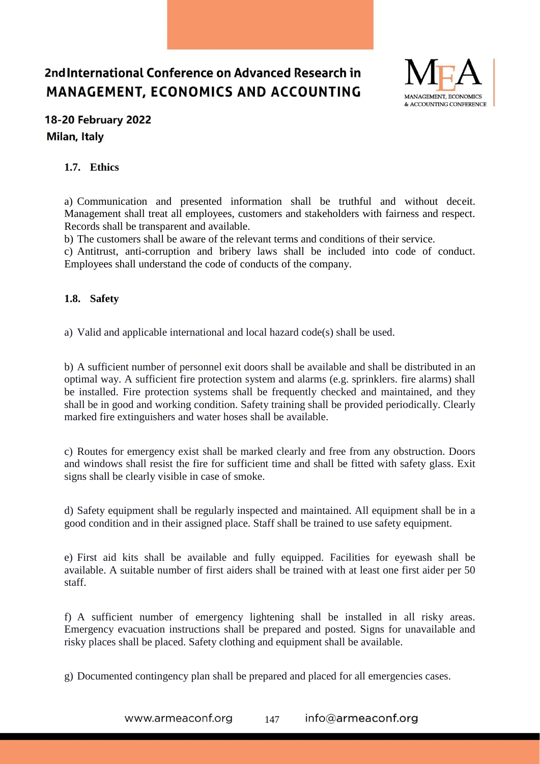

## **18-20 February 2022** Milan, Italy

### **1.7. Ethics**

a) Communication and presented information shall be truthful and without deceit. Management shall treat all employees, customers and stakeholders with fairness and respect. Records shall be transparent and available.

b) The customers shall be aware of the relevant terms and conditions of their service.

c) Antitrust, anti-corruption and bribery laws shall be included into code of conduct. Employees shall understand the code of conducts of the company.

### **1.8. Safety**

a) Valid and applicable international and local hazard code(s) shall be used.

b) A sufficient number of personnel exit doors shall be available and shall be distributed in an optimal way. A sufficient fire protection system and alarms (e.g. sprinklers. fire alarms) shall be installed. Fire protection systems shall be frequently checked and maintained, and they shall be in good and working condition. Safety training shall be provided periodically. Clearly marked fire extinguishers and water hoses shall be available.

c) Routes for emergency exist shall be marked clearly and free from any obstruction. Doors and windows shall resist the fire for sufficient time and shall be fitted with safety glass. Exit signs shall be clearly visible in case of smoke.

d) Safety equipment shall be regularly inspected and maintained. All equipment shall be in a good condition and in their assigned place. Staff shall be trained to use safety equipment.

e) First aid kits shall be available and fully equipped. Facilities for eyewash shall be available. A suitable number of first aiders shall be trained with at least one first aider per 50 staff.

f) A sufficient number of emergency lightening shall be installed in all risky areas. Emergency evacuation instructions shall be prepared and posted. Signs for unavailable and risky places shall be placed. Safety clothing and equipment shall be available.

g) Documented contingency plan shall be prepared and placed for all emergencies cases.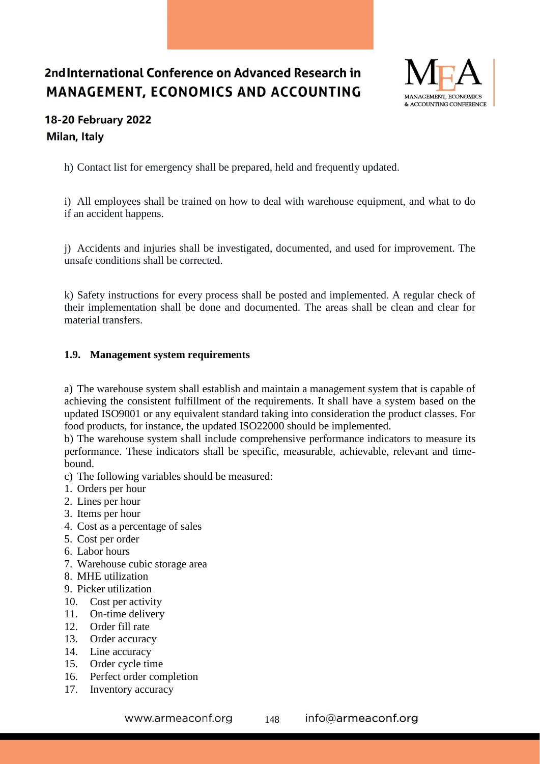

## 18-20 February 2022 Milan, Italy

h) Contact list for emergency shall be prepared, held and frequently updated.

i) All employees shall be trained on how to deal with warehouse equipment, and what to do if an accident happens.

j) Accidents and injuries shall be investigated, documented, and used for improvement. The unsafe conditions shall be corrected.

k) Safety instructions for every process shall be posted and implemented. A regular check of their implementation shall be done and documented. The areas shall be clean and clear for material transfers.

### **1.9. Management system requirements**

a) The warehouse system shall establish and maintain a management system that is capable of achieving the consistent fulfillment of the requirements. It shall have a system based on the updated ISO9001 or any equivalent standard taking into consideration the product classes. For food products, for instance, the updated ISO22000 should be implemented.

b) The warehouse system shall include comprehensive performance indicators to measure its performance. These indicators shall be specific, measurable, achievable, relevant and timebound.

- c) The following variables should be measured:
- 1. Orders per hour
- 2. Lines per hour
- 3. Items per hour
- 4. Cost as a percentage of sales
- 5. Cost per order
- 6. Labor hours
- 7. Warehouse cubic storage area
- 8. MHE utilization
- 9. Picker utilization
- 10. Cost per activity
- 11. On-time delivery
- 12. Order fill rate
- 13. Order accuracy
- 14. Line accuracy
- 15. Order cycle time
- 16. Perfect order completion
- 17. Inventory accuracy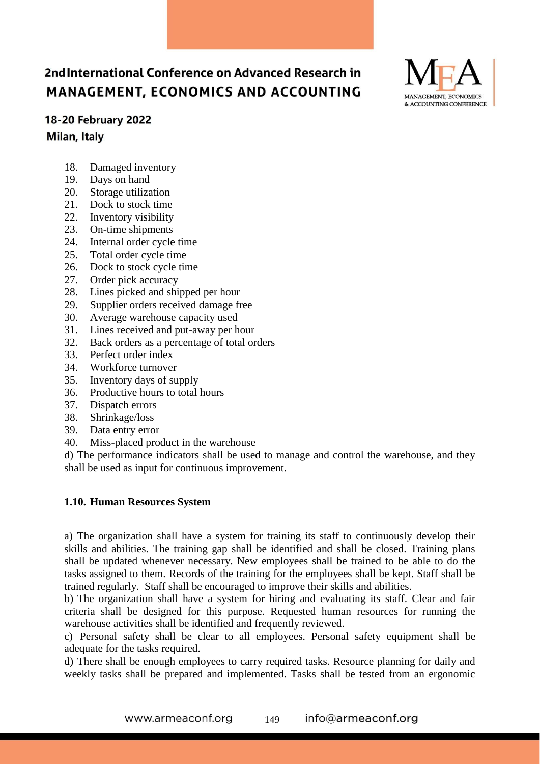

### 18-20 February 2022

Milan, Italy

- 18. Damaged inventory
- 19. Days on hand
- 20. Storage utilization
- 21. Dock to stock time
- 22. Inventory visibility
- 23. On-time shipments
- 24. Internal order cycle time
- 25. Total order cycle time
- 26. Dock to stock cycle time<br>27. Order pick accuracy
- Order pick accuracy
- 28. Lines picked and shipped per hour
- 29. Supplier orders received damage free
- 30. Average warehouse capacity used
- 31. Lines received and put-away per hour
- 32. Back orders as a percentage of total orders
- 33. Perfect order index
- 34. Workforce turnover
- 35. Inventory days of supply
- 36. Productive hours to total hours
- 37. Dispatch errors
- 38. Shrinkage/loss
- 39. Data entry error
- 40. Miss-placed product in the warehouse

d) The performance indicators shall be used to manage and control the warehouse, and they shall be used as input for continuous improvement.

#### **1.10. Human Resources System**

a) The organization shall have a system for training its staff to continuously develop their skills and abilities. The training gap shall be identified and shall be closed. Training plans shall be updated whenever necessary. New employees shall be trained to be able to do the tasks assigned to them. Records of the training for the employees shall be kept. Staff shall be trained regularly. Staff shall be encouraged to improve their skills and abilities.

b) The organization shall have a system for hiring and evaluating its staff. Clear and fair criteria shall be designed for this purpose. Requested human resources for running the warehouse activities shall be identified and frequently reviewed.

c) Personal safety shall be clear to all employees. Personal safety equipment shall be adequate for the tasks required.

d) There shall be enough employees to carry required tasks. Resource planning for daily and weekly tasks shall be prepared and implemented. Tasks shall be tested from an ergonomic